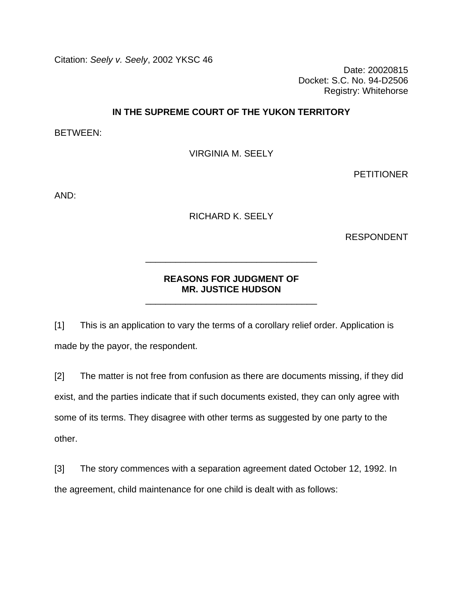Citation: *Seely v. Seely*, 2002 YKSC 46

Date: 20020815 Docket: S.C. No. 94-D2506 Registry: Whitehorse

### **IN THE SUPREME COURT OF THE YUKON TERRITORY**

BETWEEN:

VIRGINIA M. SEELY

PETITIONER

AND:

RICHARD K. SEELY

RESPONDENT

# **REASONS FOR JUDGMENT OF MR. JUSTICE HUDSON**

\_\_\_\_\_\_\_\_\_\_\_\_\_\_\_\_\_\_\_\_\_\_\_\_\_\_\_\_\_\_\_\_\_\_

\_\_\_\_\_\_\_\_\_\_\_\_\_\_\_\_\_\_\_\_\_\_\_\_\_\_\_\_\_\_\_\_\_\_

[1] This is an application to vary the terms of a corollary relief order. Application is made by the payor, the respondent.

[2] The matter is not free from confusion as there are documents missing, if they did exist, and the parties indicate that if such documents existed, they can only agree with some of its terms. They disagree with other terms as suggested by one party to the other.

[3] The story commences with a separation agreement dated October 12, 1992. In the agreement, child maintenance for one child is dealt with as follows: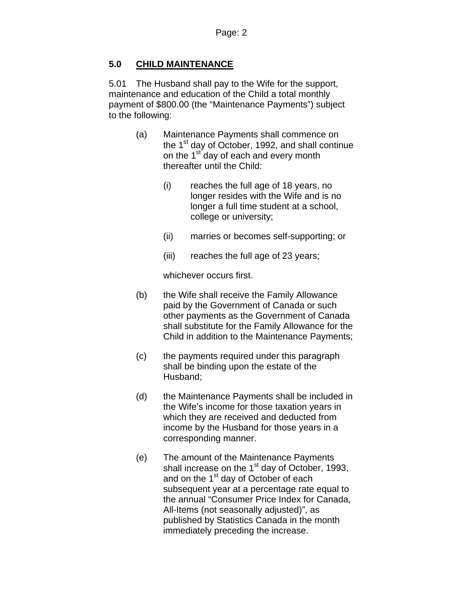# **5.0 CHILD MAINTENANCE**

5.01 The Husband shall pay to the Wife for the support, maintenance and education of the Child a total monthly payment of \$800.00 (the "Maintenance Payments") subject to the following:

- (a) Maintenance Payments shall commence on the  $1<sup>st</sup>$  day of October, 1992, and shall continue on the 1<sup>st</sup> day of each and every month thereafter until the Child:
	- (i) reaches the full age of 18 years, no longer resides with the Wife and is no longer a full time student at a school, college or university;
	- (ii) marries or becomes self-supporting; or
	- (iii) reaches the full age of 23 years;

whichever occurs first.

- (b) the Wife shall receive the Family Allowance paid by the Government of Canada or such other payments as the Government of Canada shall substitute for the Family Allowance for the Child in addition to the Maintenance Payments;
- (c) the payments required under this paragraph shall be binding upon the estate of the Husband;
- (d) the Maintenance Payments shall be included in the Wife's income for those taxation years in which they are received and deducted from income by the Husband for those years in a corresponding manner.
- (e) The amount of the Maintenance Payments shall increase on the  $1<sup>st</sup>$  day of October, 1993, and on the 1<sup>st</sup> day of October of each subsequent year at a percentage rate equal to the annual "Consumer Price Index for Canada, All-Items (not seasonally adjusted)", as published by Statistics Canada in the month immediately preceding the increase.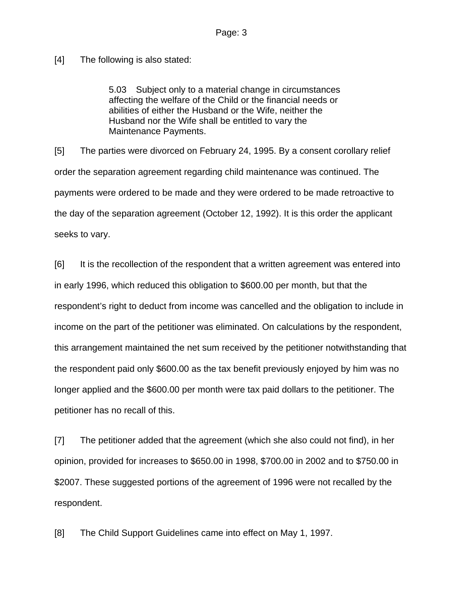[4] The following is also stated:

5.03 Subject only to a material change in circumstances affecting the welfare of the Child or the financial needs or abilities of either the Husband or the Wife, neither the Husband nor the Wife shall be entitled to vary the Maintenance Payments.

[5] The parties were divorced on February 24, 1995. By a consent corollary relief order the separation agreement regarding child maintenance was continued. The payments were ordered to be made and they were ordered to be made retroactive to the day of the separation agreement (October 12, 1992). It is this order the applicant seeks to vary.

[6] It is the recollection of the respondent that a written agreement was entered into in early 1996, which reduced this obligation to \$600.00 per month, but that the respondent's right to deduct from income was cancelled and the obligation to include in income on the part of the petitioner was eliminated. On calculations by the respondent, this arrangement maintained the net sum received by the petitioner notwithstanding that the respondent paid only \$600.00 as the tax benefit previously enjoyed by him was no longer applied and the \$600.00 per month were tax paid dollars to the petitioner. The petitioner has no recall of this.

[7] The petitioner added that the agreement (which she also could not find), in her opinion, provided for increases to \$650.00 in 1998, \$700.00 in 2002 and to \$750.00 in \$2007. These suggested portions of the agreement of 1996 were not recalled by the respondent.

[8] The Child Support Guidelines came into effect on May 1, 1997.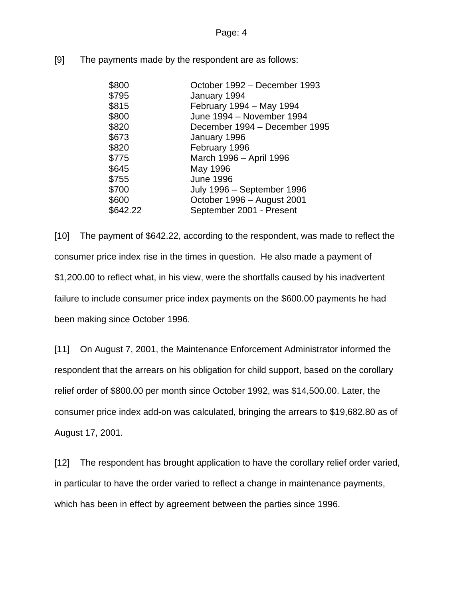Page: 4

[9] The payments made by the respondent are as follows:

| \$800    | October 1992 - December 1993  |
|----------|-------------------------------|
| \$795    | January 1994                  |
| \$815    | February 1994 - May 1994      |
| \$800    | June 1994 - November 1994     |
| \$820    | December 1994 - December 1995 |
| \$673    | January 1996                  |
| \$820    | February 1996                 |
| \$775    | March 1996 - April 1996       |
| \$645    | May 1996                      |
| \$755    | <b>June 1996</b>              |
| \$700    | July 1996 - September 1996    |
| \$600    | October 1996 - August 2001    |
| \$642.22 | September 2001 - Present      |

[10] The payment of \$642.22, according to the respondent, was made to reflect the consumer price index rise in the times in question. He also made a payment of \$1,200.00 to reflect what, in his view, were the shortfalls caused by his inadvertent failure to include consumer price index payments on the \$600.00 payments he had been making since October 1996.

[11] On August 7, 2001, the Maintenance Enforcement Administrator informed the respondent that the arrears on his obligation for child support, based on the corollary relief order of \$800.00 per month since October 1992, was \$14,500.00. Later, the consumer price index add-on was calculated, bringing the arrears to \$19,682.80 as of August 17, 2001.

[12] The respondent has brought application to have the corollary relief order varied, in particular to have the order varied to reflect a change in maintenance payments, which has been in effect by agreement between the parties since 1996.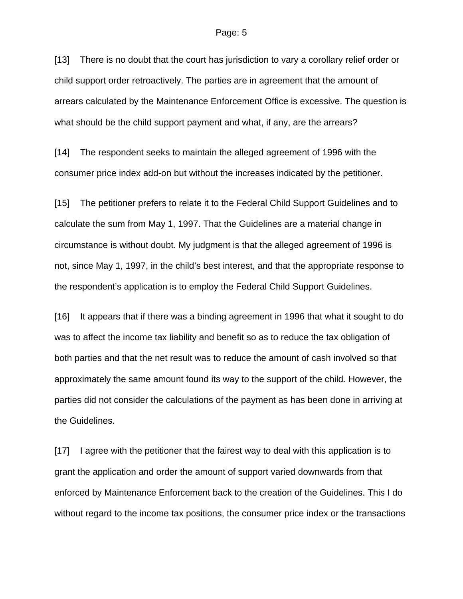#### Page: 5

[13] There is no doubt that the court has jurisdiction to vary a corollary relief order or child support order retroactively. The parties are in agreement that the amount of arrears calculated by the Maintenance Enforcement Office is excessive. The question is what should be the child support payment and what, if any, are the arrears?

[14] The respondent seeks to maintain the alleged agreement of 1996 with the consumer price index add-on but without the increases indicated by the petitioner.

[15] The petitioner prefers to relate it to the Federal Child Support Guidelines and to calculate the sum from May 1, 1997. That the Guidelines are a material change in circumstance is without doubt. My judgment is that the alleged agreement of 1996 is not, since May 1, 1997, in the child's best interest, and that the appropriate response to the respondent's application is to employ the Federal Child Support Guidelines.

[16] It appears that if there was a binding agreement in 1996 that what it sought to do was to affect the income tax liability and benefit so as to reduce the tax obligation of both parties and that the net result was to reduce the amount of cash involved so that approximately the same amount found its way to the support of the child. However, the parties did not consider the calculations of the payment as has been done in arriving at the Guidelines.

[17] I agree with the petitioner that the fairest way to deal with this application is to grant the application and order the amount of support varied downwards from that enforced by Maintenance Enforcement back to the creation of the Guidelines. This I do without regard to the income tax positions, the consumer price index or the transactions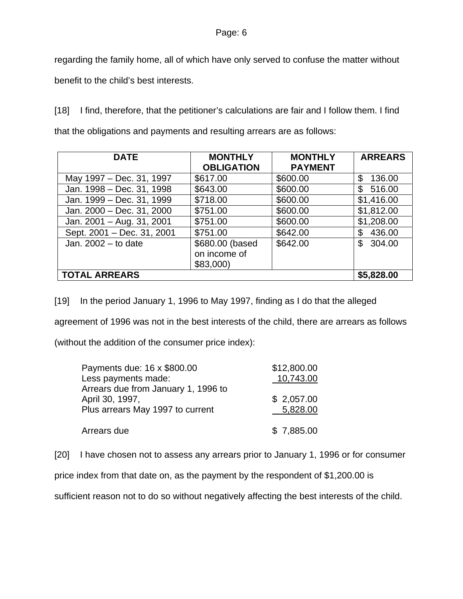#### Page: 6

regarding the family home, all of which have only served to confuse the matter without benefit to the child's best interests.

[18] I find, therefore, that the petitioner's calculations are fair and I follow them. I find that the obligations and payments and resulting arrears are as follows:

| <b>DATE</b>                | <b>MONTHLY</b>    | <b>MONTHLY</b> | <b>ARREARS</b> |
|----------------------------|-------------------|----------------|----------------|
|                            | <b>OBLIGATION</b> | <b>PAYMENT</b> |                |
| May 1997 – Dec. 31, 1997   | \$617.00          | \$600.00       | \$<br>136.00   |
| Jan. 1998 - Dec. 31, 1998  | \$643.00          | \$600.00       | 516.00<br>\$   |
| Jan. 1999 - Dec. 31, 1999  | \$718.00          | \$600.00       | \$1,416.00     |
| Jan. 2000 - Dec. 31, 2000  | \$751.00          | \$600.00       | \$1,812.00     |
| Jan. 2001 - Aug. 31, 2001  | \$751.00          | \$600.00       | \$1,208.00     |
| Sept. 2001 - Dec. 31, 2001 | \$751.00          | \$642.00       | 436.00         |
| Jan. $2002 -$ to date      | \$680.00 (based   | \$642.00       | 304.00<br>S    |
|                            | on income of      |                |                |
|                            | \$83,000          |                |                |
| <b>TOTAL ARREARS</b>       |                   |                | \$5,828.00     |

[19] In the period January 1, 1996 to May 1997, finding as I do that the alleged agreement of 1996 was not in the best interests of the child, there are arrears as follows (without the addition of the consumer price index):

| Payments due: 16 x \$800.00         | \$12,800.00 |
|-------------------------------------|-------------|
| Less payments made:                 | 10,743.00   |
| Arrears due from January 1, 1996 to |             |
| April 30, 1997,                     | \$2,057.00  |
| Plus arrears May 1997 to current    | 5,828.00    |
| Arrears due                         | \$7,885.00  |

[20] I have chosen not to assess any arrears prior to January 1, 1996 or for consumer

price index from that date on, as the payment by the respondent of \$1,200.00 is

sufficient reason not to do so without negatively affecting the best interests of the child.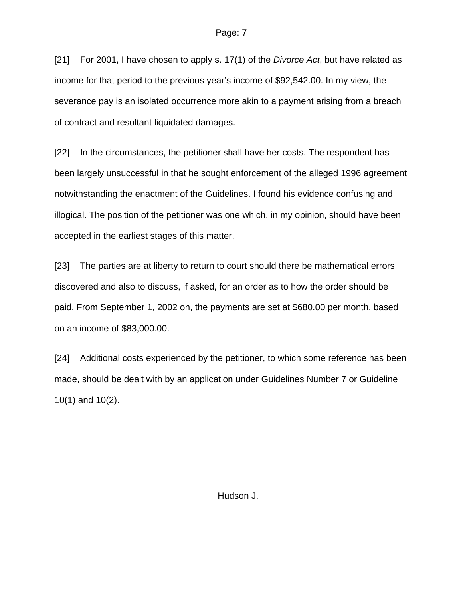[21] For 2001, I have chosen to apply s. 17(1) of the *Divorce Act*, but have related as income for that period to the previous year's income of \$92,542.00. In my view, the severance pay is an isolated occurrence more akin to a payment arising from a breach of contract and resultant liquidated damages.

[22] In the circumstances, the petitioner shall have her costs. The respondent has been largely unsuccessful in that he sought enforcement of the alleged 1996 agreement notwithstanding the enactment of the Guidelines. I found his evidence confusing and illogical. The position of the petitioner was one which, in my opinion, should have been accepted in the earliest stages of this matter.

[23] The parties are at liberty to return to court should there be mathematical errors discovered and also to discuss, if asked, for an order as to how the order should be paid. From September 1, 2002 on, the payments are set at \$680.00 per month, based on an income of \$83,000.00.

[24] Additional costs experienced by the petitioner, to which some reference has been made, should be dealt with by an application under Guidelines Number 7 or Guideline 10(1) and 10(2).

Hudson J.

 $\overline{\phantom{a}}$  , and the contract of the contract of the contract of the contract of the contract of the contract of the contract of the contract of the contract of the contract of the contract of the contract of the contrac